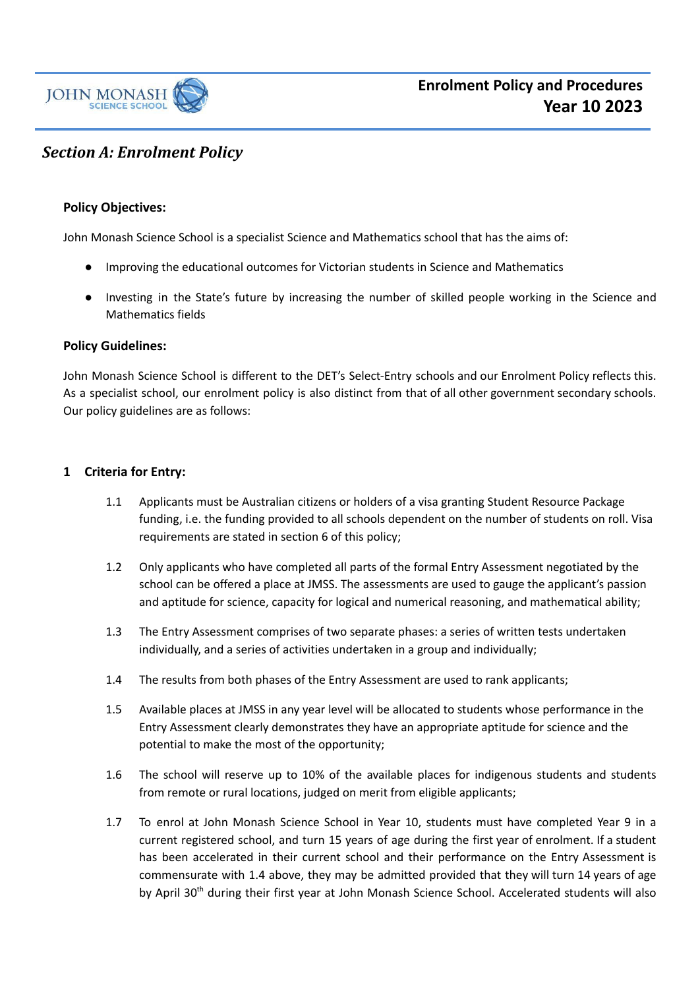

# *Section A: Enrolment Policy*

# **Policy Objectives:**

John Monash Science School is a specialist Science and Mathematics school that has the aims of:

- Improving the educational outcomes for Victorian students in Science and Mathematics
- Investing in the State's future by increasing the number of skilled people working in the Science and Mathematics fields

#### **Policy Guidelines:**

John Monash Science School is different to the DET's Select-Entry schools and our Enrolment Policy reflects this. As a specialist school, our enrolment policy is also distinct from that of all other government secondary schools. Our policy guidelines are as follows:

#### **1 Criteria for Entry:**

- 1.1 Applicants must be Australian citizens or holders of a visa granting Student Resource Package funding, i.e. the funding provided to all schools dependent on the number of students on roll. Visa requirements are stated in section 6 of this policy;
- 1.2 Only applicants who have completed all parts of the formal Entry Assessment negotiated by the school can be offered a place at JMSS. The assessments are used to gauge the applicant's passion and aptitude for science, capacity for logical and numerical reasoning, and mathematical ability;
- 1.3 The Entry Assessment comprises of two separate phases: a series of written tests undertaken individually, and a series of activities undertaken in a group and individually;
- 1.4 The results from both phases of the Entry Assessment are used to rank applicants;
- 1.5 Available places at JMSS in any year level will be allocated to students whose performance in the Entry Assessment clearly demonstrates they have an appropriate aptitude for science and the potential to make the most of the opportunity;
- 1.6 The school will reserve up to 10% of the available places for indigenous students and students from remote or rural locations, judged on merit from eligible applicants;
- 1.7 To enrol at John Monash Science School in Year 10, students must have completed Year 9 in a current registered school, and turn 15 years of age during the first year of enrolment. If a student has been accelerated in their current school and their performance on the Entry Assessment is commensurate with 1.4 above, they may be admitted provided that they will turn 14 years of age by April 30<sup>th</sup> during their first year at John Monash Science School. Accelerated students will also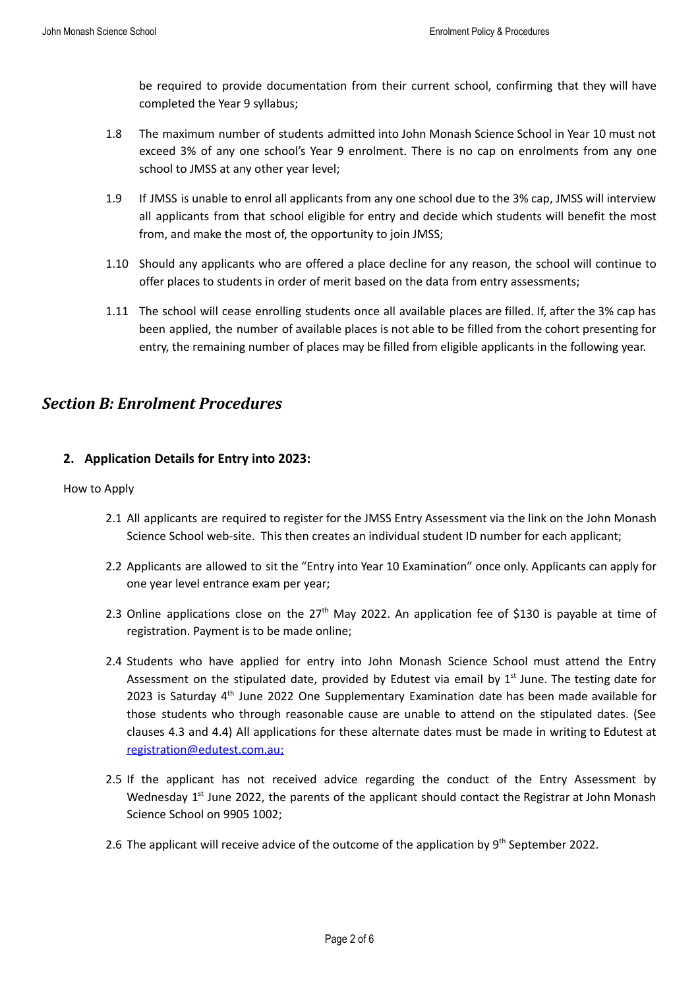be required to provide documentation from their current school, confirming that they will have completed the Year 9 syllabus;

- 1.8 The maximum number of students admitted into John Monash Science School in Year 10 must not exceed 3% of any one school's Year 9 enrolment. There is no cap on enrolments from any one school to JMSS at any other year level;
- 1.9 If JMSS is unable to enrol all applicants from any one school due to the 3% cap, JMSS will interview all applicants from that school eligible for entry and decide which students will benefit the most from, and make the most of, the opportunity to join JMSS;
- 1.10 Should any applicants who are offered a place decline for any reason, the school will continue to offer places to students in order of merit based on the data from entry assessments;
- 1.11 The school will cease enrolling students once all available places are filled. If, after the 3% cap has been applied, the number of available places is not able to be filled from the cohort presenting for entry, the remaining number of places may be filled from eligible applicants in the following year.

# *Section B: Enrolment Procedures*

# **2. Application Details for Entry into 2023:**

#### How to Apply

- 2.1 All applicants are required to register for the JMSS Entry Assessment via the link on the John Monash Science School web-site. This then creates an individual student ID number for each applicant;
- 2.2 Applicants are allowed to sit the "Entry into Year 10 Examination" once only. Applicants can apply for one year level entrance exam per year;
- 2.3 Online applications close on the 27<sup>th</sup> May 2022. An application fee of \$130 is payable at time of registration. Payment is to be made online;
- 2.4 Students who have applied for entry into John Monash Science School must attend the Entry Assessment on the stipulated date, provided by Edutest via email by  $1<sup>st</sup>$  June. The testing date for 2023 is Saturday 4<sup>th</sup> June 2022 One Supplementary Examination date has been made available for those students who through reasonable cause are unable to attend on the stipulated dates. (See clauses 4.3 and 4.4) All applications for these alternate dates must be made in writing to Edutest at [registration@edutest.com.au;](mailto:registration@edutest.com.au)
- 2.5 If the applicant has not received advice regarding the conduct of the Entry Assessment by Wednesday 1<sup>st</sup> June 2022, the parents of the applicant should contact the Registrar at John Monash Science School on 9905 1002;
- 2.6 The applicant will receive advice of the outcome of the application by  $9<sup>th</sup>$  September 2022.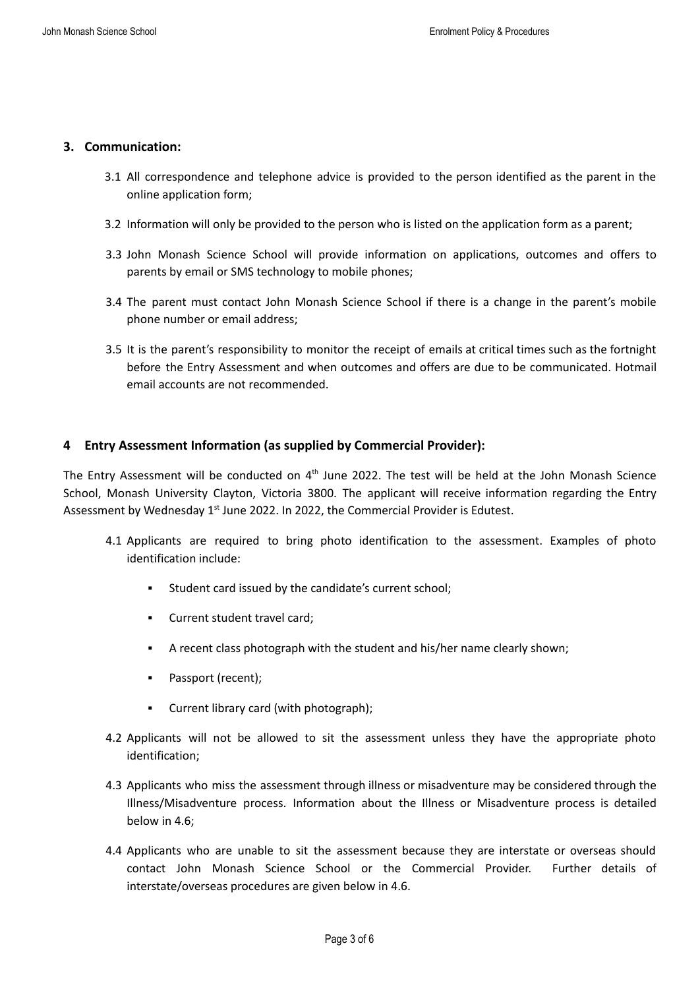### **3. Communication:**

- 3.1 All correspondence and telephone advice is provided to the person identified as the parent in the online application form;
- 3.2 Information will only be provided to the person who is listed on the application form as a parent;
- 3.3 John Monash Science School will provide information on applications, outcomes and offers to parents by email or SMS technology to mobile phones;
- 3.4 The parent must contact John Monash Science School if there is a change in the parent's mobile phone number or email address;
- 3.5 It is the parent's responsibility to monitor the receipt of emails at critical times such as the fortnight before the Entry Assessment and when outcomes and offers are due to be communicated. Hotmail email accounts are not recommended.

# **4 Entry Assessment Information (as supplied by Commercial Provider):**

The Entry Assessment will be conducted on  $4<sup>th</sup>$  June 2022. The test will be held at the John Monash Science School, Monash University Clayton, Victoria 3800. The applicant will receive information regarding the Entry Assessment by Wednesday 1<sup>st</sup> June 2022. In 2022, the Commercial Provider is Edutest.

- 4.1 Applicants are required to bring photo identification to the assessment. Examples of photo identification include:
	- Student card issued by the candidate's current school;
	- **Current student travel card;**
	- A recent class photograph with the student and his/her name clearly shown;
	- Passport (recent);
	- Current library card (with photograph);
- 4.2 Applicants will not be allowed to sit the assessment unless they have the appropriate photo identification;
- 4.3 Applicants who miss the assessment through illness or misadventure may be considered through the Illness/Misadventure process. Information about the Illness or Misadventure process is detailed below in 4.6;
- 4.4 Applicants who are unable to sit the assessment because they are interstate or overseas should contact John Monash Science School or the Commercial Provider. Further details of interstate/overseas procedures are given below in 4.6.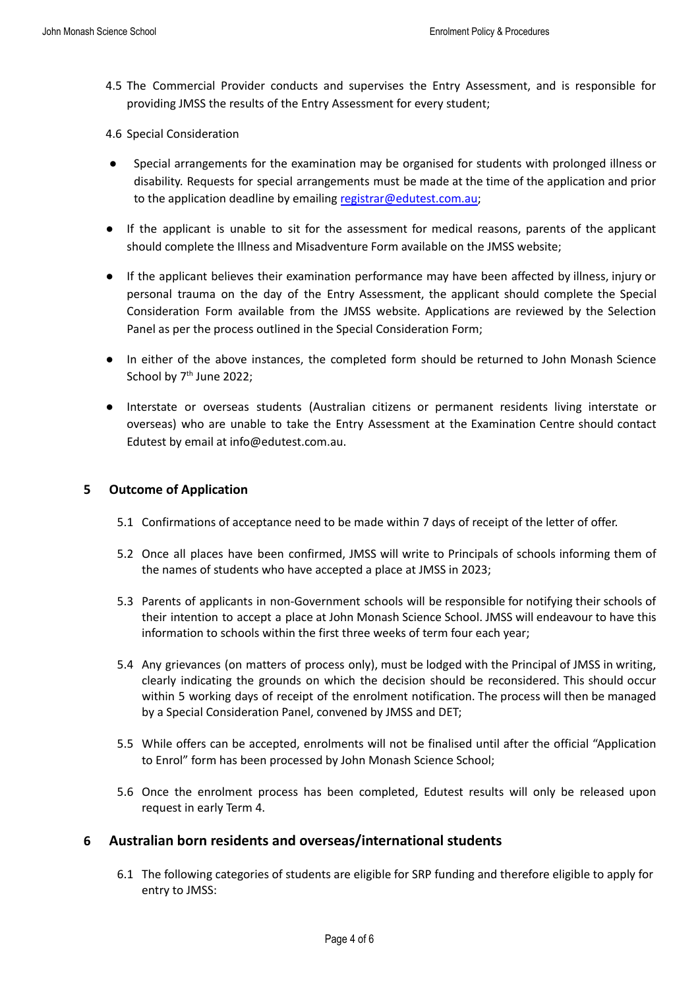- 4.5 The Commercial Provider conducts and supervises the Entry Assessment, and is responsible for providing JMSS the results of the Entry Assessment for every student;
- 4.6 Special Consideration
- Special arrangements for the examination may be organised for students with prolonged illness or disability. Requests for special arrangements must be made at the time of the application and prior to the application deadline by emailing [registrar@edutest.com.au;](mailto:registrar@edutest.com.au)
- If the applicant is unable to sit for the assessment for medical reasons, parents of the applicant should complete the Illness and Misadventure Form available on the JMSS website;
- If the applicant believes their examination performance may have been affected by illness, injury or personal trauma on the day of the Entry Assessment, the applicant should complete the Special Consideration Form available from the JMSS website. Applications are reviewed by the Selection Panel as per the process outlined in the Special Consideration Form;
- In either of the above instances, the completed form should be returned to John Monash Science School by 7<sup>th</sup> June 2022;
- Interstate or overseas students (Australian citizens or permanent residents living interstate or overseas) who are unable to take the Entry Assessment at the Examination Centre should contact Edutest by email at info@edutest.com.au.

### **5 Outcome of Application**

- 5.1 Confirmations of acceptance need to be made within 7 days of receipt of the letter of offer.
- 5.2 Once all places have been confirmed, JMSS will write to Principals of schools informing them of the names of students who have accepted a place at JMSS in 2023;
- 5.3 Parents of applicants in non-Government schools will be responsible for notifying their schools of their intention to accept a place at John Monash Science School. JMSS will endeavour to have this information to schools within the first three weeks of term four each year;
- 5.4 Any grievances (on matters of process only), must be lodged with the Principal of JMSS in writing, clearly indicating the grounds on which the decision should be reconsidered. This should occur within 5 working days of receipt of the enrolment notification. The process will then be managed by a Special Consideration Panel, convened by JMSS and DET;
- 5.5 While offers can be accepted, enrolments will not be finalised until after the official "Application to Enrol" form has been processed by John Monash Science School;
- 5.6 Once the enrolment process has been completed, Edutest results will only be released upon request in early Term 4.

# **6 Australian born residents and overseas/international students**

6.1 The following categories of students are eligible for SRP funding and therefore eligible to apply for entry to JMSS: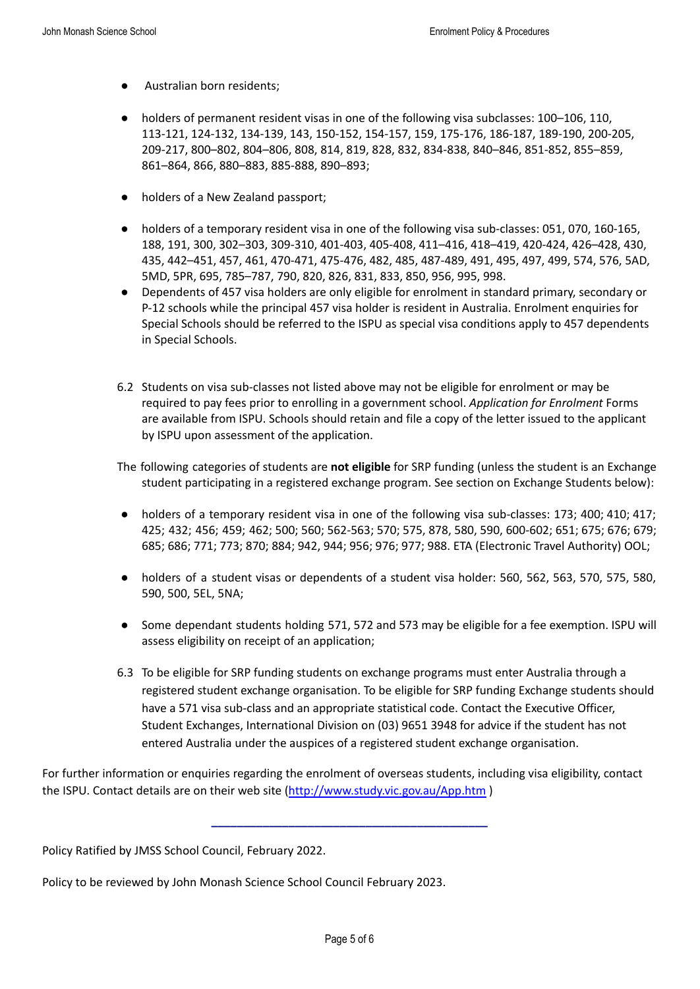- Australian born residents;
- holders of permanent resident visas in one of the following visa subclasses: 100–106, 110, 113-121, 124-132, 134-139, 143, 150-152, 154-157, 159, 175-176, 186-187, 189-190, 200-205, 209-217, 800–802, 804–806, 808, 814, 819, 828, 832, 834-838, 840–846, 851-852, 855–859, 861–864, 866, 880–883, 885-888, 890–893;
- holders of a New Zealand passport;
- holders of a temporary resident visa in one of the following visa sub-classes: 051, 070, 160-165, 188, 191, 300, 302–303, 309-310, 401-403, 405-408, 411–416, 418–419, 420-424, 426–428, 430, 435, 442–451, 457, 461, 470-471, 475-476, 482, 485, 487-489, 491, 495, 497, 499, 574, 576, 5AD, 5MD, 5PR, 695, 785–787, 790, 820, 826, 831, 833, 850, 956, 995, 998.
- Dependents of 457 visa holders are only eligible for enrolment in standard primary, secondary or P-12 schools while the principal 457 visa holder is resident in Australia. Enrolment enquiries for Special Schools should be referred to the ISPU as special visa conditions apply to 457 dependents in Special Schools.
- 6.2 Students on visa sub-classes not listed above may not be eligible for enrolment or may be required to pay fees prior to enrolling in a government school. *Application for Enrolment* Forms are available from ISPU. Schools should retain and file a copy of the letter issued to the applicant by ISPU upon assessment of the application.
- The following categories of students are **not eligible** for SRP funding (unless the student is an Exchange student participating in a registered exchange program. See section on Exchange Students below):
- holders of a temporary resident visa in one of the following visa sub-classes: 173; 400; 410; 417; 425; 432; 456; 459; 462; 500; 560; 562-563; 570; 575, 878, 580, 590, 600-602; 651; 675; 676; 679; 685; 686; 771; 773; 870; 884; 942, 944; 956; 976; 977; 988. ETA (Electronic Travel Authority) OOL;
- holders of a student visas or dependents of a student visa holder: 560, 562, 563, 570, 575, 580, 590, 500, 5EL, 5NA;
- Some dependant students holding 571, 572 and 573 may be eligible for a fee exemption. ISPU will assess eligibility on receipt of an application;
- 6.3 To be eligible for SRP funding students on exchange programs must enter Australia through a registered student exchange organisation. To be eligible for SRP funding Exchange students should have a 571 visa sub-class and an appropriate statistical code. Contact the Executive Officer, Student Exchanges, International Division on (03) 9651 3948 for advice if the student has not entered Australia under the auspices of a registered student exchange organisation.

For further information or enquiries regarding the enrolment of overseas students, including visa eligibility, contact the ISPU. Contact details are on their web site (<http://www.study.vic.gov.au/App.htm>)

**\_\_\_\_\_\_\_\_\_\_\_\_\_\_\_\_\_\_\_\_\_\_\_\_\_\_\_\_\_\_\_\_\_\_\_\_\_\_\_\_\_\_\_**

Policy Ratified by JMSS School Council, February 2022.

Policy to be reviewed by John Monash Science School Council February 2023.